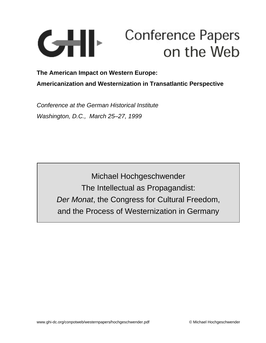

**The American Impact on Western Europe: Americanization and Westernization in Transatlantic Perspective**

Conference at the German Historical Institute Washington, D.C., March 25–27, 1999

> Michael Hochgeschwender The Intellectual as Propagandist: Der Monat, the Congress for Cultural Freedom, and the Process of Westernization in Germany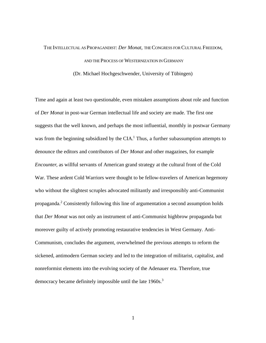# THE INTELLECTUAL AS PROPAGANDIST: *Der Monat*, THE CONGRESS FOR CULTURAL FREEDOM, AND THE PROCESS OF WESTERNIZATION IN GERMANY (Dr. Michael Hochgeschwender, University of Tübingen)

Time and again at least two questionable, even mistaken assumptions about role and function of *Der Monat* in post-war German intellectual life and society are made. The first one suggests that the well known, and perhaps the most influential, monthly in postwar Germany was from the beginning subsidized by the  $CIA$ .<sup>1</sup> Thus, a further subassumption attempts to denounce the editors and contributors of *Der Monat* and other magazines, for example *Encounter*, as willful servants of American grand strategy at the cultural front of the Cold War. These ardent Cold Warriors were thought to be fellow-travelers of American hegemony who without the slightest scruples advocated militantly and irresponsibly anti-Communist propaganda.<sup>2</sup> Consistently following this line of argumentation a second assumption holds that *Der Monat* was not only an instrument of anti-Communist highbrow propaganda but moreover guilty of actively promoting restaurative tendencies in West Germany. Anti-Communism, concludes the argument, overwhelmed the previous attempts to reform the sickened, antimodern German society and led to the integration of militarist, capitalist, and nonreformist elements into the evolving society of the Adenauer era. Therefore, true democracy became definitely impossible until the late 1960s.<sup>3</sup>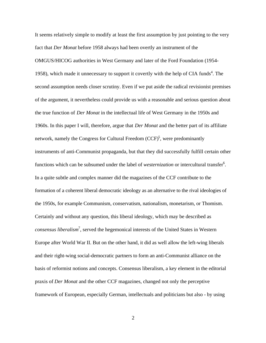It seems relatively simple to modify at least the first assumption by just pointing to the very fact that *Der Monat* before 1958 always had been overtly an instrument of the OMGUS/HICOG authorities in West Germany and later of the Ford Foundation (1954- 1958), which made it unnecessary to support it covertly with the help of CIA funds<sup>4</sup>. The second assumption needs closer scrutiny. Even if we put aside the radical revisionist premises of the argument, it nevertheless could provide us with a reasonable and serious question about the true function of *Der Monat* in the intellectual life of West Germany in the 1950s and 1960s. In this paper I will, therefore, argue that *Der Monat* and the better part of its affiliate network, namely the Congress for Cultural Freedom (CCF)<sup>5</sup>, were predominantly instruments of anti-Communist propaganda, but that they did successfully fulfill certain other functions which can be subsumed under the label of *westernization* or intercultural transfer<sup>6</sup>. In a quite subtle and complex manner did the magazines of the CCF contribute to the formation of a coherent liberal democratic ideology as an alternative to the rival ideologies of the 1950s, for example Communism, conservatism, nationalism, monetarism, or Thomism. Certainly and without any question, this liberal ideology, which may be described as *consensus liberalism*<sup>7</sup> , served the hegemonical interests of the United States in Western Europe after World War II. But on the other hand, it did as well allow the left-wing liberals and their right-wing social-democratic partners to form an anti-Communist alliance on the basis of reformist notions and concepts. Consensus liberalism, a key element in the editorial praxis of *Der Monat* and the other CCF magazines, changed not only the perceptive framework of European, especially German, intellectuals and politicians but also - by using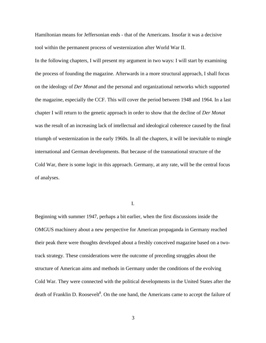Hamiltonian means for Jeffersonian ends - that of the Americans. Insofar it was a decisive tool within the permanent process of westernization after World War II.

In the following chapters, I will present my argument in two ways: I will start by examining the process of founding the magazine. Afterwards in a more structural approach, I shall focus on the ideology of *Der Monat* and the personal and organizational networks which supported the magazine, especially the CCF. This will cover the period between 1948 and 1964. In a last chapter I will return to the genetic approach in order to show that the decline of *Der Monat* was the result of an increasing lack of intellectual and ideological coherence caused by the final triumph of westernization in the early 1960s. In all the chapters, it will be inevitable to mingle international and German developments. But because of the transnational structure of the Cold War, there is some logic in this approach. Germany, at any rate, will be the central focus of analyses.

I.

Beginning with summer 1947, perhaps a bit earlier, when the first discussions inside the OMGUS machinery about a new perspective for American propaganda in Germany reached their peak there were thoughts developed about a freshly conceived magazine based on a twotrack strategy. These considerations were the outcome of preceding struggles about the structure of American aims and methods in Germany under the conditions of the evolving Cold War. They were connected with the political developments in the United States after the death of Franklin D. Roosevelt<sup>8</sup>. On the one hand, the Americans came to accept the failure of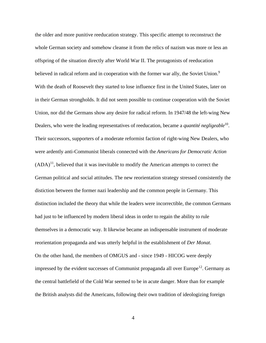the older and more punitive reeducation strategy. This specific attempt to reconstruct the whole German society and somehow cleanse it from the relics of nazism was more or less an offspring of the situation directly after World War II. The protagonists of reeducation believed in radical reform and in cooperation with the former war ally, the Soviet Union.<sup>9</sup> With the death of Roosevelt they started to lose influence first in the United States, later on in their German strongholds. It did not seem possible to continue cooperation with the Soviet Union, nor did the Germans show any desire for radical reform. In 1947/48 the left-wing New Dealers, who were the leading representatives of reeducation, became a *quantité negligeable*<sup>10</sup>. Their successors, supporters of a moderate reformist faction of right-wing New Dealers, who were ardently anti-Communist liberals connected with the *Americans for Democratic Action*  $(ADA)^{11}$ , believed that it was inevitable to modify the American attempts to correct the German political and social attitudes. The new reorientation strategy stressed consistently the distiction between the former nazi leadership and the common people in Germany. This distinction included the theory that while the leaders were incorrectible, the common Germans had just to be influenced by modern liberal ideas in order to regain the ability to rule themselves in a democratic way. It likewise became an indispensable instrument of moderate reorientation propaganda and was utterly helpful in the establishment of *Der Monat*. On the other hand, the members of OMGUS and - since 1949 - HICOG were deeply impressed by the evident successes of Communist propaganda all over Europe<sup>12</sup>. Germany as the central battlefield of the Cold War seemed to be in acute danger. More than for example the British analysts did the Americans, following their own tradition of ideologizing foreign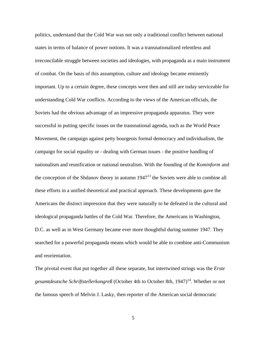politics, understand that the Cold War was not only a traditional conflict between national states in terms of balance of power notions. It was a transnationalized relentless and irreconcilable struggle between societies and ideologies, with propaganda as a main instrument of combat. On the basis of this assumption, culture and ideology became eminently important. Up to a certain degree, these concepts were then and still are today serviceable for understanding Cold War conflicts. According to the views of the American officials, the Soviets had the obvious advantage of an impressive propaganda apparatus. They were successful in putting specific issues on the transnational agenda, such as the World Peace Movement, the campaign against petty bourgeois formal democracy and individualism, the campaign for social equality or - dealing with German issues - the positive handling of nationalism and reunification or national neutralism. With the founding of the *Kominform* and the conception of the Shdanov theory in autumn 1947<sup>13</sup> the Soviets were able to combine all these efforts in a unified theoretical and practical approach. These developments gave the Americans the distinct impression that they were naturally to be defeated in the cultural and ideological propaganda battles of the Cold War. Therefore, the Americans in Washington, D.C. as well as in West Germany became ever more thoughtful during summer 1947. They searched for a powerful propaganda means which would be able to combine anti-Communism and reorientation.

The pivotal event that put together all these separate, but intertwined strings was the *Erste gesamtdeutsche Schriftstellerkongreß* (October 4th to October 8th, 1947)<sup>14</sup>. Whether or not the famous speech of Melvin J. Lasky, then reporter of the American social democratic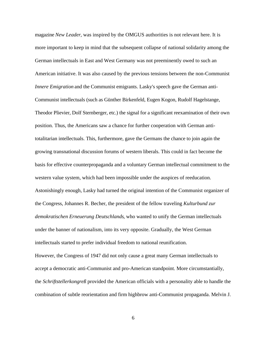magazine *New Leader*, was inspired by the OMGUS authorities is not relevant here. It is more important to keep in mind that the subsequent collapse of national solidarity among the German intellectuals in East and West Germany was not preeminently owed to such an American initiative. It was also caused by the previous tensions between the non-Communist *Innere Emigration* and the Communist emigrants. Lasky's speech gave the German anti-Communist intellectuals (such as Günther Birkenfeld, Eugen Kogon, Rudolf Hagelstange, Theodor Plievier, Dolf Sternberger, etc.) the signal for a significant reexamination of their own position. Thus, the Americans saw a chance for further cooperation with German antitotalitarian intellectuals. This, furthermore, gave the Germans the chance to join again the growing transnational discussion forums of western liberals. This could in fact become the basis for effective counterpropaganda and a voluntary German intellectual commitment to the western value system, which had been impossible under the auspices of reeducation. Astonishingly enough, Lasky had turned the original intention of the Communist organizer of the Congress, Johannes R. Becher, the president of the fellow traveling *Kulturbund zur demokratischen Erneuerung Deutschlands*, who wanted to unify the German intellectuals under the banner of nationalism, into its very opposite. Gradually, the West German intellectuals started to prefer individual freedom to national reunification.

However, the Congress of 1947 did not only cause a great many German intellectuals to accept a democratic anti-Communist and pro-American standpoint. More circumstantially, the *Schriftstellerkongreß* provided the American officials with a personality able to handle the combination of subtle reorientation and firm highbrow anti-Communist propaganda. Melvin J.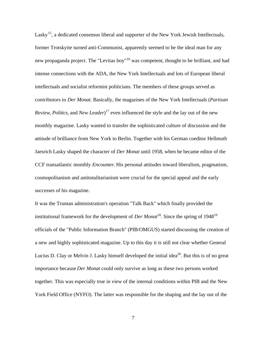Lasky<sup>15</sup>, a dedicated consensus liberal and supporter of the New York Jewish Intellectuals, former Trotskyite turned anti-Communist, apparently seemed to be the ideal man for any new propaganda project. The "Levitas boy"<sup>16</sup> was competent, thought to be brilliant, and had intense connections with the ADA, the New York Intellectuals and lots of European liberal intellectuals and socialist reformist politicians. The members of these groups served as contributors to *Der Monat*. Basically, the magazines of the New York Intellectuals (*Partisan Review*, *Politics*, and *New Leader*) <sup>17</sup> even influenced the style and the lay out of the new monthly magazine. Lasky wanted to transfer the sophisticated culture of discussion and the attitude of brilliance from New York to Berlin. Together with his German coeditor Hellmuth Jaesrich Lasky shaped the character of *Der Monat* until 1958, when he became editor of the CCF transatlantic monthly *Encounter*. His personal attitudes toward liberalism, pragmatism, cosmopolitanism and antitotalitarianism were crucial for the special appeal and the early successes of his magazine.

It was the Truman administration's operation "Talk Back" which finally provided the institutional framework for the development of *Der Monat*<sup>18</sup>. Since the spring of 1948<sup>19</sup> officials of the "Public Information Branch" (PIB/OMGUS) started discussing the creation of a new and highly sophisticated magazine. Up to this day it is still not clear whether General Lucius D. Clay or Melvin J. Lasky himself developed the initial idea<sup>20</sup>. But this is of no great importance because *Der Monat* could only survive as long as these two persons worked together. This was especially true in view of the internal conditions within PIB and the New York Field Office (NYFO). The latter was responsible for the shaping and the lay out of the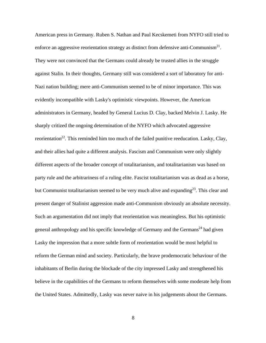American press in Germany. Ruben S. Nathan and Paul Kecskemeti from NYFO still tried to enforce an aggressive reorientation strategy as distinct from defensive anti-Communism<sup>21</sup>. They were not convinced that the Germans could already be trusted allies in the struggle against Stalin. In their thoughts, Germany still was considered a sort of laboratory for anti-Nazi nation building; mere anti-Communism seemed to be of minor importance. This was evidently incompatible with Lasky's optimistic viewpoints. However, the American administrators in Germany, headed by General Lucius D. Clay, backed Melvin J. Lasky. He sharply critized the ongoing determination of the NYFO which advocated aggressive reorientation<sup>22</sup>. This reminded him too much of the failed punitive reeducation. Lasky, Clay, and their allies had quite a different analysis. Fascism and Communism were only slightly different aspects of the broader concept of totalitarianism, and totalitarianism was based on party rule and the arbitrariness of a ruling elite. Fascist totalitarianism was as dead as a horse, but Communist totalitarianism seemed to be very much alive and expanding<sup>23</sup>. This clear and present danger of Stalinist aggression made anti-Communism obviously an absolute necessity. Such an argumentation did not imply that reorientation was meaningless. But his optimistic general anthropology and his specific knowledge of Germany and the Germans<sup>24</sup> had given Lasky the impression that a more subtle form of reorientation would be most helpful to reform the German mind and society. Particularly, the brave prodemocratic behaviour of the inhabitants of Berlin during the blockade of the city impressed Lasky and strengthened his believe in the capabilities of the Germans to reform themselves with some moderate help from the United States. Admittedly, Lasky was never naive in his judgements about the Germans.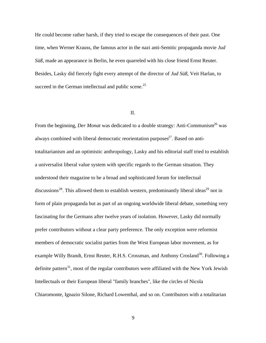He could become rather harsh, if they tried to escape the consequences of their past. One time, when Werner Krauss, the famous actor in the nazi anti-Semitic propaganda movie *Jud Süß*, made an appearance in Berlin, he even quarreled with his close friend Ernst Reuter. Besides, Lasky did fiercely fight every attempt of the director of *Jud Süß*, Veit Harlan, to succeed in the German intellectual and public scene.<sup>25</sup>

# II.

From the beginning, *Der Monat* was dedicated to a double strategy: Anti-Communism<sup>26</sup> was always combined with liberal democratic reorientation purposes $27$ . Based on antitotalitarianism and an optimistic anthropology, Lasky and his editorial staff tried to establish a universalist liberal value system with specific regards to the German situation. They understood their magazine to be a broad and sophisticated forum for intellectual discussions<sup>28</sup>. This allowed them to establish western, predominantly liberal ideas<sup>29</sup> not in form of plain propaganda but as part of an ongoing worldwide liberal debate, something very fascinating for the Germans after twelve years of isolation. However, Lasky did normally prefer contributors without a clear party preference. The only exception were reformist members of democratic socialist parties from the West European labor movement, as for example Willy Brandt, Ernst Reuter, R.H.S. Crossman, and Anthony Crosland<sup>30</sup>. Following a definite pattern<sup>31</sup>, most of the regular contributors were affiliated with the New York Jewish Intellectuals or their European liberal "family branches", like the circles of Nicola Chiaromonte, Ignazio Silone, Richard Lowenthal, and so on. Contributors with a totalitarian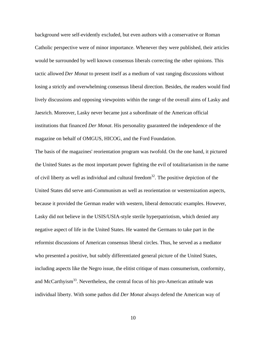background were self-evidently excluded, but even authors with a conservative or Roman Catholic perspective were of minor importance. Whenever they were published, their articles would be surrounded by well known consensus liberals correcting the other opinions. This tactic allowed *Der Monat* to present itself as a medium of vast ranging discussions without losing a strictly and overwhelming consensus liberal direction. Besides, the readers would find lively discussions and opposing viewpoints within the range of the overall aims of Lasky and Jaesrich. Moreover, Lasky never became just a subordinate of the American official institutions that financed *Der Monat*. His personality guaranteed the independence of the magazine on behalf of OMGUS, HICOG, and the Ford Foundation.

The basis of the magazines' reorientation program was twofold. On the one hand, it pictured the United States as the most important power fighting the evil of totalitarianism in the name of civil liberty as well as individual and cultural freedom<sup>32</sup>. The positive depiction of the United States did serve anti-Communism as well as reorientation or westernization aspects, because it provided the German reader with western, liberal democratic examples. However, Lasky did not believe in the USIS/USIA-style sterile hyperpatriotism, which denied any negative aspect of life in the United States. He wanted the Germans to take part in the reformist discussions of American consensus liberal circles. Thus, he served as a mediator who presented a positive, but subtly differentiated general picture of the United States, including aspects like the Negro issue, the elitist critique of mass consumerism, conformity, and McCarthyism<sup>33</sup>. Nevertheless, the central focus of his pro-American attitude was individual liberty. With some pathos did *Der Monat* always defend the American way of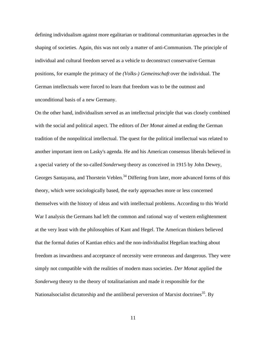defining individualism against more egalitarian or traditional communitarian approaches in the shaping of societies. Again, this was not only a matter of anti-Communism. The principle of individual and cultural freedom served as a vehicle to deconstruct conservative German positions, for example the primacy of the *(Volks-) Gemeinschaft* over the individual. The German intellectuals were forced to learn that freedom was to be the outmost and unconditional basis of a new Germany.

On the other hand, individualism served as an intellectual principle that was closely combined with the social and political aspect. The editors of *Der Monat* aimed at ending the German tradition of the nonpolitical intellectual. The quest for the political intellectual was related to another important item on Lasky's agenda. He and his American consensus liberals believed in a special variety of the so-called *Sonderweg* theory as conceived in 1915 by John Dewey, Georges Santayana, and Thorstein Veblen.<sup>34</sup> Differing from later, more advanced forms of this theory, which were sociologically based, the early approaches more or less concerned themselves with the history of ideas and with intellectual problems. According to this World War I analysis the Germans had left the common and rational way of western enlightenment at the very least with the philosophies of Kant and Hegel. The American thinkers believed that the formal duties of Kantian ethics and the non-individualist Hegelian teaching about freedom as inwardness and acceptance of necessity were erroneous and dangerous. They were simply not compatible with the realities of modern mass societies. *Der Monat* applied the *Sonderweg* theory to the theory of totalitarianism and made it responsible for the Nationalsocialist dictatorship and the antiliberal perversion of Marxist doctrines<sup>35</sup>. By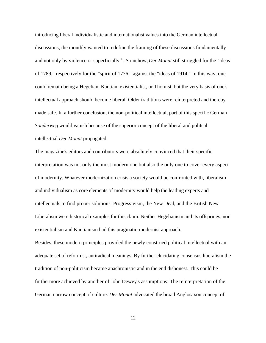introducing liberal individualistic and internationalist values into the German intellectual discussions, the monthly wanted to redefine the framing of these discussions fundamentally and not only by violence or superficially<sup>36</sup>. Somehow, *Der Monat* still struggled for the "ideas" of 1789," respectively for the "spirit of 1776," against the "ideas of 1914." In this way, one could remain being a Hegelian, Kantian, existentialist, or Thomist, but the very basis of one's intellectual approach should become liberal. Older traditions were reinterpreted and thereby made safe. In a further conclusion, the non-political intellectual, part of this specific German *Sonderweg* would vanish because of the superior concept of the liberal and politcal intellectual *Der Monat* propagated.

The magazine's editors and contributors were absolutely convinced that their specific interpretation was not only the most modern one but also the only one to cover every aspect of modernity. Whatever modernization crisis a society would be confronted with, liberalism and individualism as core elements of modernity would help the leading experts and intellectuals to find proper solutions. Progressivism, the New Deal, and the British New Liberalism were historical examples for this claim. Neither Hegelianism and its offsprings, nor existentialism and Kantianism had this pragmatic-modernist approach.

Besides, these modern principles provided the newly construed political intellectual with an adequate set of reformist, antiradical meanings. By further elucidating consensus liberalism the tradition of non-politicism became anachronistic and in the end dishonest. This could be furthermore achieved by another of John Dewey's assumptions: The reinterpretation of the German narrow concept of culture. *Der Monat* advocated the broad Anglosaxon concept of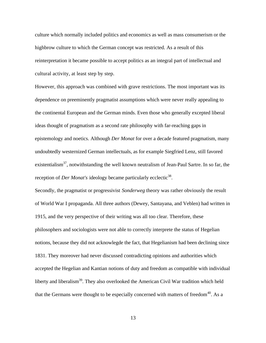culture which normally included politics and economics as well as mass consumerism or the highbrow culture to which the German concept was restricted. As a result of this reinterpretation it became possible to accept politics as an integral part of intellectual and cultural activity, at least step by step.

However, this approach was combined with grave restrictions. The most important was its dependence on preeminently pragmatist assumptions which were never really appealing to the continental European and the German minds. Even those who generally excepted liberal ideas thought of pragmatism as a second rate philosophy with far-reaching gaps in epistemology and noetics. Although *Der Monat* for over a decade featured pragmatism, many undoubtedly westernized German intellectuals, as for example Siegfried Lenz, still favored existentialism<sup>37</sup>, notwithstanding the well known neutralism of Jean-Paul Sartre. In so far, the reception of *Der Monat's* ideology became particularly ecclectic<sup>38</sup>.

Secondly, the pragmatist or progressivist *Sonderweg* theory was rather obviously the result of World War I propaganda. All three authors (Dewey, Santayana, and Veblen) had written in 1915, and the very perspective of their writing was all too clear. Therefore, these philosophers and sociologists were not able to correctly interprete the status of Hegelian notions, because they did not acknowlegde the fact, that Hegelianism had been declining since 1831. They moreover had never discussed contradicting opinions and authorities which accepted the Hegelian and Kantian notions of duty and freedom as compatible with individual liberty and liberalism<sup>39</sup>. They also overlooked the American Civil War tradition which held that the Germans were thought to be especially concerned with matters of freedom $40$ . As a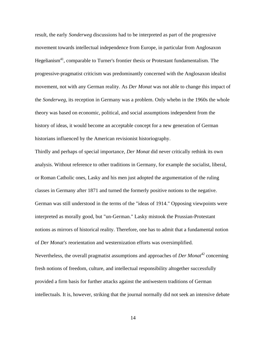result, the early *Sonderweg* discussions had to be interpreted as part of the progressive movement towards intellectual independence from Europe, in particular from Anglosaxon Hegelianism<sup>41</sup>, comparable to Turner's frontier thesis or Protestant fundamentalism. The progressive-pragmatist criticism was predominantly concerned with the Anglosaxon idealist movement, not with any German reality. As *Der Monat* was not able to change this impact of the *Sonderweg,* its reception in Germany was a problem. Only whebn in the 1960s the whole theory was based on economic, political, and social assumptions independent from the history of ideas, it would become an acceptable concept for a new generation of German historians influenced by the American revisionist historiography.

Thirdly and perhaps of special importance, *Der Monat* did never critically rethink its own analysis. Without reference to other traditions in Germany, for example the socialist, liberal, or Roman Catholic ones, Lasky and his men just adopted the argumentation of the ruling classes in Germany after 1871 and turned the formerly positive notions to the negative. German was still understood in the terms of the "ideas of 1914." Opposing viewpoints were interpreted as morally good, but "un-German." Lasky mistook the Prussian-Protestant notions as mirrors of historical reality. Therefore, one has to admit that a fundamental notion of *Der Monat's* reorientation and westernization efforts was oversimplified. Nevertheless, the overall pragmatist assumptions and approaches of *Der Monat*<sup>42</sup> concerning fresh notions of freedom, culture, and intellectual responsibility altogether successfully provided a firm basis for further attacks against the antiwestern traditions of German intellectuals. It is, however, striking that the journal normally did not seek an intensive debate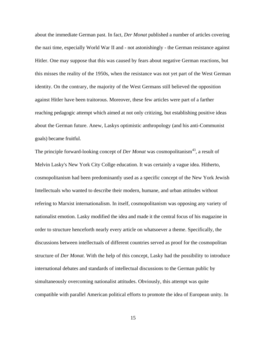about the immediate German past. In fact, *Der Monat* published a number of articles covering the nazi time, especially World War II and - not astonishingly - the German resistance against Hitler. One may suppose that this was caused by fears about negative German reactions, but this misses the reality of the 1950s, when the resistance was not yet part of the West German identity. On the contrary, the majority of the West Germans still believed the opposition against Hitler have been traitorous. Moreover, these few articles were part of a farther reaching pedagogic attempt which aimed at not only critizing, but establishing positive ideas about the German future. Anew, Laskys optimistic anthropology (and his anti-Communist goals) became fruitful.

The principle forward-looking concept of *Der Monat* was cosmopolitanism<sup>43</sup>, a result of Melvin Lasky's New York City Collge education. It was certainly a vague idea. Hitherto, cosmopolitanism had been predominantly used as a specific concept of the New York Jewish Intellectuals who wanted to describe their modern, humane, and urban attitudes without refering to Marxist internationalism. In itself, cosmopolitanism was opposing any variety of nationalist emotion. Lasky modified the idea and made it the central focus of his magazine in order to structure henceforth nearly every article on whatsoever a theme. Specifically, the discussions between intellectuals of different countries served as proof for the cosmopolitan structure of *Der Monat*. With the help of this concept, Lasky had the possibility to introduce international debates and standards of intellectual discussions to the German public by simultaneously overcoming nationalist attitudes. Obviously, this attempt was quite compatible with parallel American political efforts to promote the idea of European unity. In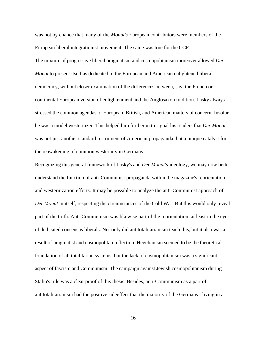was not by chance that many of the *Monat's* European contributors were members of the European liberal integrationist movement. The same was true for the CCF.

The mixture of progressive liberal pragmatism and cosmopolitanism moreover allowed *Der Monat* to present itself as dedicated to the European and American enlightened liberal democracy, without closer examination of the differences between, say, the French or continental European version of enlightenment and the Anglosaxon tradition. Lasky always stressed the common agendas of European, British, and American matters of concern. Insofar he was a model westernizer. This helped him furtheron to signal his readers that *Der Monat* was not just another standard instrument of American propaganda, but a unique catalyst for the reawakening of common westernity in Germany.

Recognizing this general framework of Lasky's and *Der Monat's* ideology, we may now better understand the function of anti-Communist propaganda within the magazine's reorientation and westernization efforts. It may be possible to analyze the anti-Communist approach of *Der Monat* in itself, respecting the circumstances of the Cold War. But this would only reveal part of the truth. Anti-Communism was likewise part of the reorientation, at least in the eyes of dedicated consensus liberals. Not only did antitotalitarianism teach this, but it also was a result of pragmatist and cosmopolitan reflection. Hegelianism seemed to be the theoretical foundation of all totalitarian systems, but the lack of cosmopolitanism was a significant aspect of fascism and Communism. The campaign against Jewish cosmopolitanism during Stalin's rule was a clear proof of this thesis. Besides, anti-Communism as a part of antitotalitarianism had the positive sideeffect that the majority of the Germans - living in a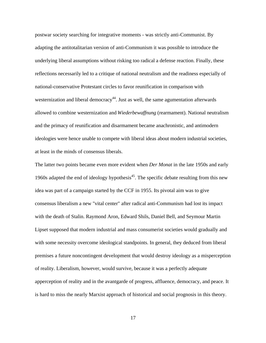postwar society searching for integrative moments - was strictly anti-Communist. By adapting the antitotalitarian version of anti-Communism it was possible to introduce the underlying liberal assumptions without risking too radical a defense reaction. Finally, these reflections necessarily led to a critique of national neutralism and the readiness especially of national-conservative Protestant circles to favor reunification in comparison with westernization and liberal democracy<sup>44</sup>. Just as well, the same agumentation afterwards allowed to combine westernization and *Wiederbewaffnung* (rearmament). National neutralism and the primacy of reunification and disarmament became anachronistic, and antimodern ideologies were hence unable to compete with liberal ideas about modern industrial societies, at least in the minds of consensus liberals.

The latter two points became even more evident when *Der Monat* in the late 1950s and early 1960s adapted the end of ideology hypothesis<sup>45</sup>. The specific debate resulting from this new idea was part of a campaign started by the CCF in 1955. Its pivotal aim was to give consensus liberalism a new "vital center" after radical anti-Communism had lost its impact with the death of Stalin. Raymond Aron, Edward Shils, Daniel Bell, and Seymour Martin Lipset supposed that modern industrial and mass consumerist societies would gradually and with some necessity overcome ideological standpoints. In general, they deduced from liberal premises a future noncontingent development that would destroy ideology as a misperception of reality. Liberalism, however, would survive, because it was a perfectly adequate apperception of reality and in the avantgarde of progress, affluence, democracy, and peace. It is hard to miss the nearly Marxist approach of historical and social prognosis in this theory.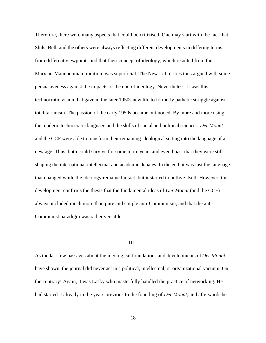Therefore, there were many aspects that could be critizised. One may start with the fact that Shils, Bell, and the others were always reflecting different developments in differing terms from different viewpoints and that their concept of ideology, which resulted from the Marxian-Mannheimian tradition, was superficial. The New Left critics thus argued with some persuasiveness against the impacts of the end of ideology. Nevertheless, it was this technocratic vision that gave in the later 1950s new life to formerly pathetic struggle against totalitarianism. The passion of the early 1950s became outmoded. By more and more using the modern, technocratic language and the skills of social and political sciences, *Der Monat* and the CCF were able to transform their remaining ideological setting into the language of a new age. Thus, both could survive for some more years and even boast that they were still shaping the international intellectual and academic debates. In the end, it was just the language that changed while the ideology remained intact, but it started to outlive itself. However, this development confirms the thesis that the fundamental ideas of *Der Monat* (and the CCF) always included much more than pure and simple anti-Communism, and that the anti-Communist paradigm was rather versatile.

## III.

As the last few passages about the ideological foundations and developments of *Der Monat* have shown, the journal did never act in a political, intellectual, or organizational vacuum. On the contrary! Again, it was Lasky who masterfully handled the practice of networking. He had started it already in the years previous to the founding of *Der Monat*, and afterwards he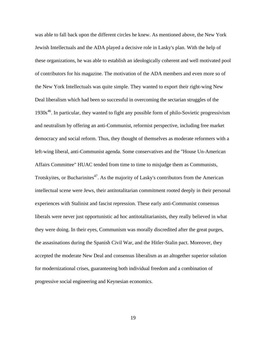was able to fall back upon the different circles he knew. As mentioned above, the New York Jewish Intellectuals and the ADA played a decisive role in Lasky's plan. With the help of these organizations, he was able to establish an ideologically coherent and well motivated pool of contributors for his magazine. The motivation of the ADA members and even more so of the New York Intellectuals was quite simple. They wanted to export their right-wing New Deal liberalism which had been so successful in overcoming the sectarian struggles of the  $1930s<sup>46</sup>$ . In particular, they wanted to fight any possible form of philo-Sovietic progressivism and neutralism by offering an anti-Communist, reformist perspective, including free market democracy and social reform. Thus, they thought of themselves as moderate reformers with a left-wing liberal, anti-Communist agenda. Some conservatives and the "House Un-American Affairs Committee" HUAC tended from time to time to misjudge them as Communists, Trotskyites, or Bucharinites<sup>47</sup>. As the majority of Lasky's contributors from the American intellectual scene were Jews, their antitotalitarian commitment rooted deeply in their personal experiences with Stalinist and fascist repression. These early anti-Communist consensus liberals were never just opportunistic ad hoc antitotalitarianists, they really believed in what they were doing. In their eyes, Communism was morally discredited after the great purges, the assasinations during the Spanish Civil War, and the Hitler-Stalin pact. Moreover, they accepted the moderate New Deal and consensus liberalism as an altogether superior solution for modernizational crises, guaranteeing both individual freedom and a combination of progressive social engineering and Keynesian economics.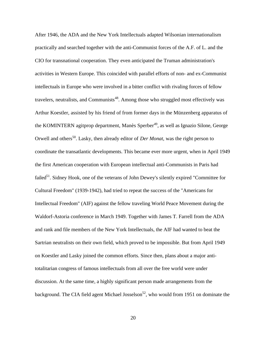After 1946, the ADA and the New York Intellectuals adapted Wilsonian internationalism practically and searched together with the anti-Communist forces of the A.F. of L. and the CIO for transnational cooperation. They even anticipated the Truman administration's activities in Western Europe. This coincided with parallel efforts of non- and ex-Communist intellectuals in Europe who were involved in a bitter conflict with rivaling forces of fellow travelers, neutralists, and Communists<sup>48</sup>. Among those who struggled most effectively was Arthur Koestler, assisted by his friend of from former days in the Münzenberg apparatus of the KOMINTERN agitprop department, Manès Sperber<sup>49</sup>, as well as Ignazio Silone, George Orwell and others<sup>50</sup>. Lasky, then already editor of *Der Monat*, was the right person to coordinate the transatlantic developments. This became ever more urgent, when in April 1949 the first American cooperation with European intellectual anti-Communists in Paris had failed<sup>51</sup>. Sidney Hook, one of the veterans of John Dewey's silently expired "Committee for Cultural Freedom" (1939-1942), had tried to repeat the success of the "Americans for Intellectual Freedom" (AIF) against the fellow traveling World Peace Movement during the Waldorf-Astoria conference in March 1949. Together with James T. Farrell from the ADA and rank and file members of the New York Intellectuals, the AIF had wanted to beat the Sartrian neutralists on their own field, which proved to be impossible. But from April 1949 on Koestler and Lasky joined the common efforts. Since then, plans about a major antitotalitarian congress of famous intellectuals from all over the free world were under discussion. At the same time, a highly significant person made arrangements from the background. The CIA field agent Michael Josselson<sup>52</sup>, who would from 1951 on dominate the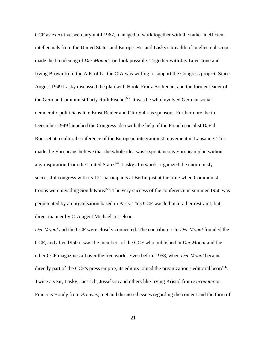CCF as executive secretary until 1967, managed to work together with the rather inefficient intellectuals from the United States and Europe. His and Lasky's breadth of intellectual scope made the broadening of *Der Monat's* outlook possible. Together with Jay Lovestone and Irving Brown from the A.F. of L., the CIA was willing to support the Congress project. Since August 1949 Lasky discussed the plan with Hook, Franz Borkenau, and the former leader of the German Communist Party Ruth Fischer<sup>53</sup>. It was he who involved German social democratic politicians like Ernst Reuter and Otto Suhr as sponsors. Furthermore, he in December 1949 launched the Congress idea with the help of the French socialist David Rousset at a cultural conference of the European integrationist movement in Lausanne. This made the Europeans believe that the whole idea was a spontaneous European plan without any inspiration from the United States<sup>54</sup>. Lasky afterwards organized the enormously successful congress with its 121 participants at Berlin just at the time when Communist troops were invading South Korea<sup>55</sup>. The very success of the conference in summer 1950 was perpetuated by an organisation based in Paris. This CCF was led in a rather restraint, but direct manner by CIA agent Michael Josselson.

*Der Monat* and the CCF were closely connected. The contributors to *Der Monat* founded the CCF, and after 1950 it was the members of the CCF who published in *Der Monat* and the other CCF magazines all over the free world. Even before 1958, when *Der Monat* became directly part of the CCF's press empire, its editors joined the organization's editorial board<sup>56</sup>. Twice a year, Lasky, Jaesrich, Josselson and others like Irving Kristol from *Encounter* or Francois Bondy from *Preuves,* met and discussed issues regarding the content and the form of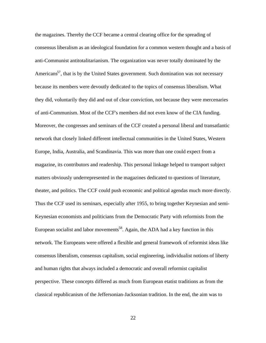the magazines. Thereby the CCF became a central clearing office for the spreading of consensus liberalism as an ideological foundation for a common western thought and a basis of anti-Communist antitotalitarianism. The organization was never totally dominated by the Americans<sup>57</sup>, that is by the United States government. Such domination was not necessary because its members were devoutly dedicated to the topics of consensus liberalism. What they did, voluntarily they did and out of clear conviction, not because they were mercenaries of anti-Communism. Most of the CCF's members did not even know of the CIA funding. Moreover, the congresses and seminars of the CCF created a personal liberal and transatlantic network that closely linked different intellectual communities in the United States, Western Europe, India, Australia, and Scandinavia. This was more than one could expect from a magazine, its contributors and readership. This personal linkage helped to transport subject matters obviously underrepresented in the magazines dedicated to questions of literature, theater, and politics. The CCF could push economic and political agendas much more directly. Thus the CCF used its seminars, especially after 1955, to bring together Keynesian and semi-Keynesian economists and politicians from the Democratic Party with reformists from the European socialist and labor movements<sup>58</sup>. Again, the ADA had a key function in this network. The Europeans were offered a flexible and general framework of reformist ideas like consensus liberalism, consensus capitalism, social engineering, individualist notions of liberty and human rights that always included a democratic and overall reformist capitalist perspective. These concepts differed as much from European etatist traditions as from the classical republicanism of the Jeffersonian-Jacksonian tradition. In the end, the aim was to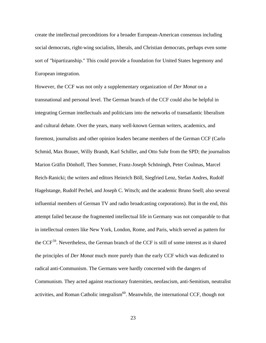create the intellectual preconditions for a broader European-American consensus including social democrats, right-wing socialists, liberals, and Christian democrats, perhaps even some sort of "bipartizanship." This could provide a foundation for United States hegemony and European integration.

However, the CCF was not only a supplementary organization of *Der Monat* on a transnational and personal level. The German branch of the CCF could also be helpful in integrating German intellectuals and politicians into the networks of transatlantic liberalism and cultural debate. Over the years, many well-known German writers, academics, and foremost, journalists and other opinion leaders became members of the German CCF (Carlo Schmid, Max Brauer, Willy Brandt, Karl Schiller, and Otto Suhr from the SPD; the journalists Marion Gräfin Dönhoff, Theo Sommer, Franz-Joseph Schöningh, Peter Coulmas, Marcel Reich-Ranicki; the writers and editors Heinrich Böll, Siegfried Lenz, Stefan Andres, Rudolf Hagelstange, Rudolf Pechel, and Joseph C. Witsch; and the academic Bruno Snell; also several influential members of German TV and radio broadcasting corporations). But in the end, this attempt failed because the fragmented intellectual life in Germany was not comparable to that in intellectual centers like New York, London, Rome, and Paris, which served as pattern for the CCF<sup>59</sup>. Nevertheless, the German branch of the CCF is still of some interest as it shared the principles of *Der Monat* much more purely than the early CCF which was dedicated to radical anti-Communism. The Germans were hardly concerned with the dangers of Communism. They acted against reactionary fraternities, neofascism, anti-Semitism, neutralist activities, and Roman Catholic integralism $60$ . Meanwhile, the international CCF, though not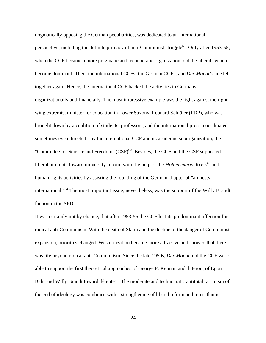dogmatically opposing the German peculiarities, was dedicated to an international perspective, including the definite primacy of anti-Communist struggle<sup>61</sup>. Only after 1953-55, when the CCF became a more pragmatic and technocratic organization, did the liberal agenda become dominant. Then, the international CCFs, the German CCFs, and *Der Monat's* line fell together again. Hence, the international CCF backed the activities in Germany organizationally and financially. The most impressive example was the fight against the rightwing extremist minister for education in Lower Saxony, Leonard Schlüter (FDP), who was brought down by a coalition of students, professors, and the international press, coordinated sometimes even directed - by the international CCF and its academic suborganization, the "Committee for Science and Freedom"  $(CSF)^{62}$ . Besides, the CCF and the CSF supported liberal attempts toward university reform with the help of the *Hofgeismarer Kreis*<sup>63</sup> and human rights activities by assisting the founding of the German chapter of "amnesty international."<sup>64</sup> The most important issue, nevertheless, was the support of the Willy Brandt faction in the SPD.

It was certainly not by chance, that after 1953-55 the CCF lost its predominant affection for radical anti-Communism. With the death of Stalin and the decline of the danger of Communist expansion, priorities changed. Westernization became more attractive and showed that there was life beyond radical anti-Communism. Since the late 1950s, *Der Monat* and the CCF were able to support the first theoretical approaches of George F. Kennan and, lateron, of Egon Bahr and Willy Brandt toward détente<sup>65</sup>. The moderate and technocratic antitotalitarianism of the end of ideology was combined with a strengthening of liberal reform and transatlantic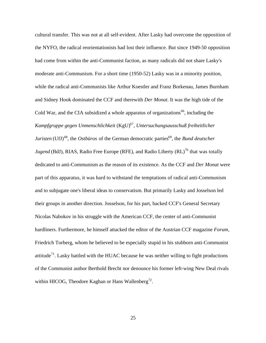cultural transfer. This was not at all self-evident. After Lasky had overcome the opposition of the NYFO, the radical reorientationists had lost their influence. But since 1949-50 opposition had come from within the anti-Communist faction, as many radicals did not share Lasky's moderate anti-Communism. For a short time (1950-52) Lasky was in a minority position, while the radical anti-Communists like Arthur Koestler and Franz Borkenau, James Burnham and Sidney Hook dominated the CCF and therewith *Der Monat*. It was the high tide of the Cold War, and the CIA subsidized a whole apparatus of organizations<sup>66</sup>, including the *Kampfgruppe gegen Unmenschlichkeit* (KgU)<sup>67</sup> , *Untersuchungsausschuß freiheitlicher Juristen* (UfJ)<sup>68</sup>, the *Ostbüros* of the German democratic parties<sup>69</sup>, the *Bund deutscher Jugend* (BdJ), RIAS, Radio Free Europe (RFE), and Radio Liberty (RL)<sup>70</sup> that was totally dedicated to anti-Communism as the reason of its existence. As the CCF and *Der Monat* were part of this apparatus, it was hard to withstand the temptations of radical anti-Communism and to subjugate one's liberal ideas to conservatism. But primarily Lasky and Josselson led their groups in another direction. Josselson, for his part, backed CCF's General Secretary Nicolas Nabokov in his struggle with the American CCF, the center of anti-Communist hardliners. Furthermore, he himself attacked the editor of the Austrian CCF magazine *Forum*, Friedrich Torberg, whom he believed to be especially stupid in his stubborn anti-Communist attitude<sup>71</sup>. Lasky battled with the HUAC because he was neither willing to fight productions of the Communist author Berthold Brecht nor denounce his former left-wing New Deal rivals within HICOG, Theodore Kaghan or Hans Wallenberg<sup>72</sup>.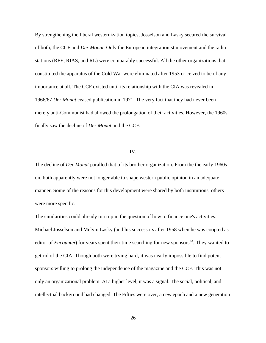By strengthening the liberal westernization topics, Josselson and Lasky secured the survival of both, the CCF and *Der Monat*. Only the European integrationist movement and the radio stations (RFE, RIAS, and RL) were comparably successful. All the other organizations that constituted the apparatus of the Cold War were eliminated after 1953 or ceized to be of any importance at all. The CCF existed until its relationship with the CIA was revealed in 1966/67 *Der Monat* ceased publication in 1971. The very fact that they had never been merely anti-Communist had allowed the prolongation of their activities. However, the 1960s finally saw the decline of *Der Monat* and the CCF.

#### IV.

The decline of *Der Monat* paralled that of its brother organization. From the the early 1960s on, both apparently were not longer able to shape western public opinion in an adequate manner. Some of the reasons for this development were shared by both institutions, others were more specific.

The similarities could already turn up in the question of how to finance one's activities. Michael Josselson and Melvin Lasky (and his successors after 1958 when he was coopted as editor of *Encounter*) for years spent their time searching for new sponsors<sup>73</sup>. They wanted to get rid of the CIA. Though both were trying hard, it was nearly impossible to find potent sponsors willing to prolong the independence of the magazine and the CCF. This was not only an organizational problem. At a higher level, it was a signal. The social, political, and intellectual background had changed. The Fifties were over, a new epoch and a new generation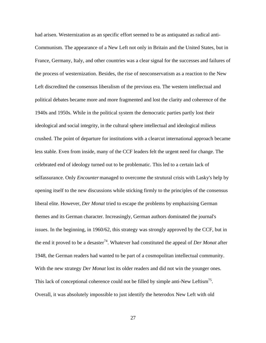had arisen. Westernization as an specific effort seemed to be as antiquated as radical anti-Communism. The appearance of a New Left not only in Britain and the United States, but in France, Germany, Italy, and other countries was a clear signal for the successes and failures of the process of westernization. Besides, the rise of neoconservatism as a reaction to the New Left discredited the consensus liberalism of the previous era. The western intellectual and political debates became more and more fragmented and lost the clarity and coherence of the 1940s and 1950s. While in the political system the democratic parties partly lost their ideological and social integrity, in the cultural sphere intellectual and ideological milieus crushed. The point of departure for institutions with a clearcut international approach became less stable. Even from inside, many of the CCF leaders felt the urgent need for change. The celebrated end of ideology turned out to be problematic. This led to a certain lack of selfassurance. Only *Encounter* managed to overcome the strutural crisis with Lasky's help by opening itself to the new discussions while sticking firmly to the principles of the consensus liberal elite. However, *Der Monat* tried to escape the problems by emphazising German themes and its German character. Increasingly, German authors dominated the journal's issues. In the beginning, in 1960/62, this strategy was strongly approved by the CCF, but in the end it proved to be a desaster<sup>74</sup>. Whatever had constituted the appeal of *Der Monat* after 1948, the German readers had wanted to be part of a cosmopolitan intellectual community. With the new strategy *Der Monat* lost its older readers and did not win the younger ones. This lack of conceptional coherence could not be filled by simple anti-New Leftism<sup>75</sup>. Overall, it was absolutely impossible to just identify the heterodox New Left with old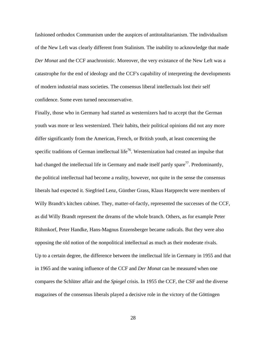fashioned orthodox Communism under the auspices of antitotalitarianism. The individualism of the New Left was clearly different from Stalinism. The inability to acknowledge that made *Der Monat* and the CCF anachronistic. Moreover, the very existance of the New Left was a catastrophe for the end of ideology and the CCF's capability of interpreting the developments of modern industrial mass societies. The consensus liberal intellectuals lost their self confidence. Some even turned neoconservative.

Finally, those who in Germany had started as westernizers had to accept that the German youth was more or less westernized. Their habits, their political opinions did not any more differ significantly from the American, French, or British youth, at least concerning the specific traditions of German intellectual life<sup>76</sup>. Westernization had created an impulse that had changed the intellectual life in Germany and made itself partly spare<sup>77</sup>. Predominantly, the political intellectual had become a reality, however, not quite in the sense the consensus liberals had expected it. Siegfried Lenz, Günther Grass, Klaus Harpprecht were members of Willy Brandt's kitchen cabinet. They, matter-of-factly, represented the successes of the CCF, as did Willy Brandt represent the dreams of the whole branch. Others, as for example Peter Rühmkorf, Peter Handke, Hans-Magnus Enzensberger became radicals. But they were also opposing the old notion of the nonpolitical intellectual as much as their moderate rivals. Up to a certain degree, the difference between the intellectual life in Germany in 1955 and that in 1965 and the waning influence of the CCF and *Der Monat* can be measured when one compares the Schlüter affair and the *Spiegel* crisis. In 1955 the CCF, the CSF and the diverse magazines of the consensus liberals played a decisive role in the victory of the Göttingen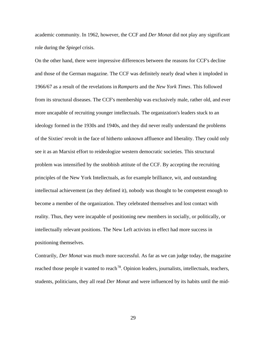academic community. In 1962, however, the CCF and *Der Monat* did not play any significant role during the *Spiegel* crisis.

On the other hand, there were impressive differences between the reasons for CCF's decline and those of the German magazine. The CCF was definitely nearly dead when it imploded in 1966/67 as a result of the revelations in *Ramparts* and the *New York Times*. This followed from its structural diseases. The CCF's membership was exclusively male, rather old, and ever more uncapable of recruiting younger intellectuals. The organization's leaders stuck to an ideology formed in the 1930s and 1940s, and they did never really understand the problems of the Sixties' revolt in the face of hitherto unknown affluence and liberality. They could only see it as an Marxist effort to reideologize western democratic societies. This structural problem was intensified by the snobbish attitute of the CCF. By accepting the recruiting principles of the New York Intellectuals, as for example brilliance, wit, and outstanding intellectual achievement (as they defined it), nobody was thought to be competent enough to become a member of the organization. They celebrated themselves and lost contact with reality. Thus, they were incapable of positioning new members in socially, or politically, or intellectually relevant positions. The New Left activists in effect had more success in positioning themselves.

Contrarily, *Der Monat* was much more successful. As far as we can judge today, the magazine reached those people it wanted to reach<sup>78</sup>. Opinion leaders, journalists, intellectuals, teachers, students, politicians, they all read *Der Monat* and were influenced by its habits until the mid-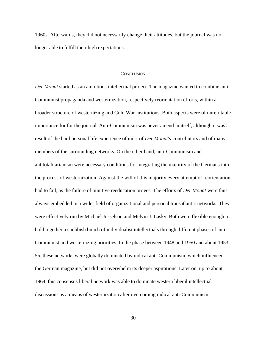1960s. Afterwards, they did not necessarily change their attitudes, but the journal was no longer able to fulfill their high expectations.

### **CONCLUSION**

*Der Monat* started as an ambitious intellectual project. The magazine wanted to combine anti-Communist propaganda and westernization, respectively reorientation efforts, within a broader structure of westernizing and Cold War institutions. Both aspects were of unrefutable importance for for the journal. Anti-Communism was never an end in itself, although it was a result of the hard personal life experience of most of *Der Monat's* contributors and of many members of the surrounding networks. On the other hand, anti-Communism and antitotalitarianism were necessary conditions for integrating the majority of the Germans into the process of westernization. Against the will of this majority every attempt of reorientation had to fail, as the failure of punitive reeducation proves. The efforts of *Der Monat* were thus always embedded in a wider field of organizational and personal transatlantic networks. They were effectively run by Michael Josselson and Melvin J. Lasky. Both were flexible enough to hold together a snobbish bunch of individualist intellectuals through different phases of anti-Communist and westernizing priorities. In the phase between 1948 and 1950 and about 1953- 55, these networks were globally dominated by radical anti-Communism, which influenced the German magazine, but did not overwhelm its deeper aspirations. Later on, up to about 1964, this consensus liberal network was able to dominate western liberal intellectual discussions as a means of westernization after overcoming radical anti-Communism.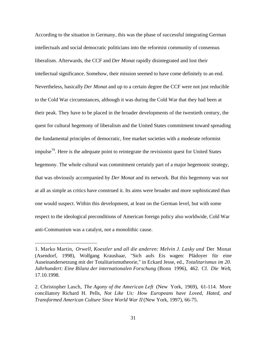According to the situation in Germany, this was the phase of successful integrating German intellectuals and social democratic politicians into the reformist community of consensus liberalism. Afterwards, the CCF and *Der Monat* rapidly disintegrated and lost their intellectual significance. Somehow, their mission seemed to have come definitely to an end. Nevertheless, basically *Der Monat* and up to a certain degree the CCF were not just reducible to the Cold War circumstances, although it was during the Cold War that they had been at their peak. They have to be placed in the broader developments of the twentieth century, the quest for cultural hegemony of liberalism and the United States commitment toward spreading the fundamental principles of democratic, free market societies with a moderate reformist impulse<sup>79</sup>. Here is the adequate point to reintegrate the revisionist quest for United States hegemony. The whole cultural was commitment certainly part of a major hegemonic strategy, that was obviously accompanied by *Der Monat* and its network. But this hegemony was not at all as simple as critics have construed it. Its aims were broader and more sophisticated than one would suspect. Within this development, at least on the German level, but with some respect to the ideological preconditions of American foreign policy also worldwide, Cold War anti-Communism was a catalyst, not a monolithic cause.

j

<sup>1.</sup> Marko Martin, *Orwell, Koestler und all die anderen: Melvin J. Lasky und* Der Monat (Asendorf, 1998), Wolfgang Kraushaar, "Sich aufs Eis wagen: Plädoyer für eine Auseinandersetzung mit der Totalitarismutheorie," in Eckard Jesse, ed., *Totalitarismus im 20. Jahrhundert: Eine Bilanz der internationalen Forschung* (Bonn 1996), 462. Cf. *Die Welt*, 17.10.1998.

<sup>2.</sup> Christopher Lasch, *The Agony of the American Left* (New York, 1969), 61-114. More conciliatory Richard H. Pells, *Not Like Us: How Europeans have Loved, Hated, and Transformed American Culture Since World War II* (New York, 1997), 66-75.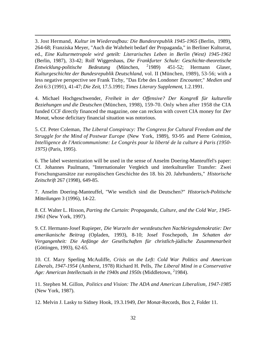3. Jost Hermand, *Kultur im Wiederaufbau: Die Bundesrepublik 1945-1965* (Berlin, 1989), 264-68; Franziska Meyer, "Auch die Wahrheit bedarf der Propaganda," in Berliner Kulturrat, ed., *Eine Kulturmetropole wird geteilt: Literarisches Leben in Berlin (West) 1945-1961* (Berlin, 1987), 33-42; Rolf Wiggershaus, *Die Frankfurter Schule: Geschichte-theoretische Entwicklung-politische Bedeutung* (München, <sup>2</sup>1989) 1989) 451-52; Hermann Glaser, *Kulturgeschichte der Bundesrepublik Deutschland*, vol. II (München, 1989), 53-56; with a less negative perspective see Frank Tichy, "Das Erbe des Londoner *Encounter*," *Medien und Zeit* 6:3 (1991), 41-47; *Die Zeit*, 17.5.1991; *Times Literary Supplement*, 1.2.1991.

j

4. Michael Hochgeschwender, *Freiheit in der Offensive? Der Kongreß für kulturelle Beziehungen und die Deutschen* (München, 1998), 159-70. Only when after 1958 the CIA funded CCF directly financed the magazine, one can reckon with covert CIA money for *Der Monat*, whose deficitary financial situation was notorious.

5. Cf. Peter Coleman, *The Liberal Conspiracy: The Congress for Cultural Freedom and the Struggle for the Mind of Postwar Europe* (New York, 1989), 93-95 and Pierre Grémion, *Intelligence de l'Anticommunisme: Le Congrès pour la liberté de la culture à Paris (1950- 1975)* (Paris, 1995).

6. The label westernization will be used in the sense of Anselm Doering-Manteuffel's paper: Cf. Johannes Paulmann, "Internationaler Vergleich und interkultureller Transfer: Zwei Forschungsansätze zur europäischen Geschichte des 18. bis 20. Jahrhunderts," *Historische Zeitschrift* 267 (1998), 649-85.

7. Anselm Doering-Manteuffel, "Wie westlich sind die Deutschen?" *Historisch-Politische Mitteilungen* 3 (1996), 14-22.

8. Cf. Walter L. Hixson, *Parting the Curtain: Propaganda, Culture, and the Cold War, 1945- 1961* (New York, 1997).

9. Cf. Hermann-Josef Rupieper, *Die Wurzeln der westdeutschen Nachkriegsdemokratie: Der amerikanische Beitrag* (Opladen, 1993), 8-10; Josef Foschepoth, *Im Schatten der Vergangenheit: Die Anfänge der Gesellschaften für christlich-jüdische Zusammenarbeit* (Göttingen, 1993), 62-65.

10. Cf. Mary Sperling McAuliffe, *Crisis on the Left: Cold War Politics and American Liberals, 1947-1954* (Amherst, 1978) Richard H. Pells, *The Liberal Mind in a Conservative* Age: American Intellectuals in the 1940s and 1950s (Middletown, <sup>2</sup>1984).

11. Stephen M. Gillon, *Politics and Vision: The ADA and American Liberalism, 1947-1985* (New York, 1987).

12. Melvin J. Lasky to Sidney Hook, 19.3.1949, *Der Monat*-Records, Box 2, Folder 11.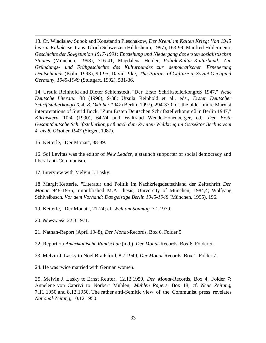13. Cf. Wladislaw Subok and Konstantin Pleschakow, *Der Kreml im Kalten Krieg: Von 1945 bis zur Kubakrise*, trans. Ulrich Schweizer (Hildesheim, 1997), 163-99; Manfred Hildermeier, *Geschichte der Sowjetunion 1917-1991: Entstehung und Niedergang des ersten sozialistischen Staates* (München, 1998), 716-41; Magdalena Heider, *Politik-Kultur-Kulturbund: Zur Gründungs- und Frühgeschichte des Kulturbundes zur demokratischen Erneuerung Deutschlands* (Köln, 1993), 90-95; David Pike, *The Politics of Culture in Soviet Occupied Germany, 1945-1949* (Stuttgart, 1992), 531-36.

14. Ursula Reinhold and Dieter Schlenstedt, "Der Erste Schriftstellerkongreß 1947," *Neue Deutsche Literatur* 38 (1990), 9-38; Ursula Reinhold et al., eds., *Erster Deutscher Schriftstellerkongreß, 4.-8. Oktober 1947* (Berlin, 1997), 294-370; cf. the older, more Marxist interpretations of Sigrid Bock, "Zum Ersten Deutschen Schriftstellerkongreß in Berlin 1947," *Kürbiskern* 10:4 (1990), 64-74 and Waltraud Wende-Hohenberger, ed., *Der Erste Gesamtdeutsche Schriftstellerkongreß nach dem Zweiten Weltkrieg im Ostsektor Berlins vom 4. bis 8. Oktober 1947* (Siegen, 1987).

15. Ketterle, "Der Monat", 38-39.

j

16. Sol Levitas was the editor of *New Leader*, a staunch supporter of social democracy and liberal anti-Communism.

17. Interview with Melvin J. Lasky.

18. Margit Ketterle, "Literatur und Politik im Nachkriegsdeutschland der Zeitschrift *Der Monat* 1948-1955," unpublished M.A. thesis, University of München, 1984,4; Wolfgang Schivelbusch, *Vor dem Vorhand: Das geistige Berlin 1945-1948* (München, 1995), 196.

19. Ketterle, "Der Monat", 21-24; cf. *Welt am Sonntag*, 7.1.1979.

20. *Newsweek*, 22.3.1971.

21. Nathan-Report (April 1948), *Der Monat*-Records, Box 6, Folder 5.

22. Report on *Amerikanische Rundschau* (n.d.), *Der Monat*-Records, Box 6, Folder 5.

23. Melvin J. Lasky to Noel Brailsford, 8.7.1949, *Der Monat*-Records, Box 1, Folder 7.

24. He was twice married with German women.

25. Melvin J. Lasky to Ernst Reuter, 12.12.1950, *Der Monat*-Records, Box 4, Folder 7; Annelene von Caprivi to Norbert Muhlen, *Muhlen Papers*, Box 18; cf. *Neue Zeitung*, 7.11.1950 and 8.12.1950. The rather anti-Semitic view of the Communist press revelates *National-Zeitung*, 10.12.1950.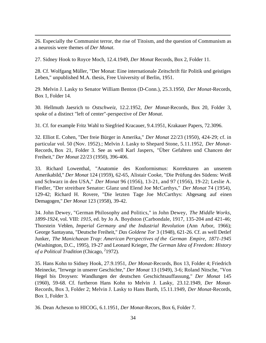26. Especially the Communist terror, the rise of Titoism, and the question of Communism as a neurosis were themes of *Der Monat*.

27. Sidney Hook to Royce Moch, 12.4.1949, *Der Monat* Records, Box 2, Folder 11.

j

28. Cf. Wolfgang Müller, "Der Monat: Eine internationale Zeitschrift für Politik und geistiges Leben," unpublished M.A. thesis, Free University of Berlin, 1951.

29. Melvin J. Lasky to Senator William Benton (D-Conn.), 25.3.1950, *Der Monat*-Records, Box 1, Folder 14.

30. Hellmuth Jaesrich to *Ostschweiz*, 12.2.1952, *Der Monat*-Records, Box 20, Folder 3, spoke of a distinct "left of center"-perspective of *Der Monat*.

31. Cf. for example Fritz Wahl to Siegfried Kracauer, 9.4.1951, Krakauer Papers, 72.3096.

32. Elliot E. Cohen, "Der freie Bürger in Amerika," *Der Monat* 22/23 (1950), 424-29; cf. in particular vol. 50 (Nov. 1952).; Melvin J. Lasky to Shepard Stone, 5.11.1952, *Der Monat*-Records, Box 21, Folder 3. See as well Karl Jaspers, "Über Gefahren und Chancen der Freiheit," *Der Monat* 22/23 (1950), 396-406.

33. Richard Lowenthal, "Anatomie des Konformismus: Korrekturen an unserem Amerikabild," *Der Monat* 124 (1959), 62-65, Alistair Cooke, "Die Prüfung des Südens: Weiß und Schwarz in den USA," *Der Monat* 96 (1956), 13-21, and 97 (1956), 19-22; Leslie A. Fiedler, "Der streitbare Senator: Glanz und Elend Joe McCarthys," *Der Monat* 74 (1954), 129-42; Richard H. Rovere, "Die letzten Tage Joe McCarthys: Abgesang auf einen Demagogen," *Der Monat* 123 (1958), 39-42.

34. John Dewey, "German Philosophy and Politics," in John Dewey, *The Middle Works, 1899-1924*, vol. VIII: *1915,* ed. by Jo A. Boydston (Carbondale, 1917, 135-204 and 421-46; Thorstein Veblen, *Imperial Germany and the Industrial Revolution* (Ann Arbor, 1966); George Santayana, "Deutsche Freiheit," *Das Goldene Tor* 3 (1948), 621-26. Cf. as well Detlef Junker, *The Manichaean Trap: American Perspectives of the German Empire, 1871-1945* (Washington, D.C., 1995), 19-27 and Leonard Krieger, *The German Idea of Freedom: History* of a Political Tradition (Chicago, <sup>2</sup>1972).

35. Hans Kohn to Sidney Hook, 27.9.1951, *Der Monat*-Records, Box 13, Folder 4; Friedrich Meinecke, "Irrwege in unserer Geschichte," *Der Monat* 13 (1949), 3-6; Roland Nitsche, "Von Hegel bis Droysen: Wandlungen der deutschen Geschichtsauffassung," *Der Monat* 145 (1960), 59-68. Cf. furtheron Hans Kohn to Melvin J. Lasky, 23.12.1949, *Der Monat*-Records, Box 3, Folder 2; Melvin J. Lasky to Hans Barth, 15.11.1949, *Der Monat*-Records, Box 1, Folder 3.

36. Dean Acheson to HICOG, 6.1.1951, *Der Monat*-Recors, Box 6, Folder 7.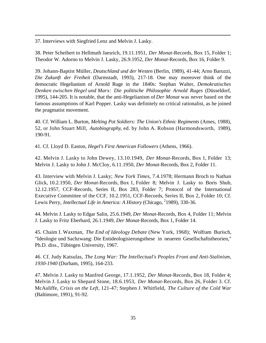37. Interviews with Siegfried Lenz and Melvin J. Lasky.

j

38. Peter Scheibert to Hellmuth Jaesrich, 19.11.1951, *Der Monat*-Records, Box 15, Folder 1; Theodor W. Adorno to Melvin J. Lasky, 26.9.1952, *Der Monat*-Records, Box 16, Folder 9.

39. Johann-Baptist Müller, *Deutschland und der Westen* (Berlin, 1989), 41-44; Arno Baruzzi, *Die Zukunft der Freiheit* (Darmstadt, 1993), 217-18. One may moreover think of the democratic Hegelianism of Arnold Ruge in the 1840s: Stephan Walter, *Demokratisches Denken zwischen Hegel und Marx: Die politische Philosophie Arnold Ruges* (Düsseldorf, 1995), 144-205. It is notable, that the anti-Hegelianism of *Der Monat* was never based on the famous assumptions of Karl Popper. Lasky was definitely no critical rationalist, as he joined the pragmatist movement.

40. Cf. William L. Burton, *Melting Pot Soldiers: The Union's Ethnic Regiments* (Ames, 1988), 52, or John Stuart Mill, *Autobiography*, ed. by John A. Robson (Harmondsworth, 1989), 190-91.

41. Cf. Lloyd D. Easton, *Hegel's First American Followers* (Athens, 1966).

42. Melvin J. Lasky to John Dewey, 13.10.1949, *Der Monat*-Records, Box 1, Folder 13; Melvin J. Lasky to John J. McCloy, 6.11.1950, *Der Monat*-Records, Box 2, Folder 11.

43. Interview with Melvin J. Lasky; *New York Times*, 7.4.1978; Hermann Broch to Nathan Glick, 10.2.1950, *Der Monat*-Records, Box 1, Folder 8; Melvin J. Lasky to Boris Shub, 12.12.1957, CCF-Records, Series II, Box 283, Folder 7; Protocol of the International Executive Committee of the CCF, 10.2.1951, CCF-Records, Series II, Box 2, Folder 10; Cf. Lewis Perry, *Intellectual Life in America: A History* (Chicago, <sup>2</sup>1989), 330-36.

44. Melvin J. Lasky to Edgar Salin, 25.6.1949, *Der Monat*-Records, Box 4, Folder 11; Melvin J. Lasky to Fritz Eberhard, 26.1.1949, *Der Monat*-Records, Box 1, Folder 14.

45. Chaim I. Waxman, *The End of Ideology Debate* (New York, 1968); Wolfram Burisch, "Ideologie und Sachzwang: Die Entideologisierungsthese in neueren Gesellschaftstheorien," Ph.D. diss., Tübingen University, 1967.

46. Cf. Judy Katsulas, *The Long War: The Intellectual's Peoples Front and Anti-Stalinism, 1930-1940* (Durham, 1995), 164-233.

47. Melvin J. Lasky to Manfred George, 17.1.1952, *Der Monat*-Records, Box 18, Folder 4; Melvin J. Lasky to Shepard Stone, 18.6.1953, *Der Monat*-Records, Box 26, Folder 3. Cf. McAuliffe, *Crisis on the Left*, 121-47; Stephen J. Whitfield, *The Culture of the Cold War* (Baltimore, 1991), 91-92.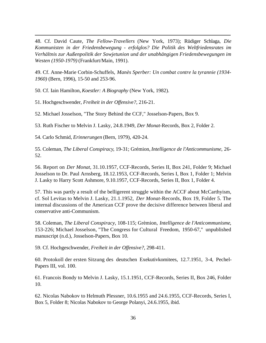48. Cf. David Caute, *The Fellow-Travellers* (New York, 1973); Rüdiger Schlaga, *Die Kommunisten in der Friedensbewegung - erfolglos? Die Politik des Weltfriedensrates im Verhältnis zur Außenpolitik der Sowjetunion und der unabhängigen Friedensbewegungen im Westen (1950-1979)* (Frankfurt/Main, 1991).

49. Cf. Anne-Marie Corbin-Schuffels, *Manès Sperber: Un combat contre la tyrannie (1934- 1960)* (Bern, 1996), 15-50 and 253-96.

50. Cf. Iain Hamilton, *Koestler: A Biography* (New York, 1982).

51. Hochgeschwender, *Freiheit in der Offensive?*, 216-21.

j

52. Michael Josselson, "The Story Behind the CCF," Josselson-Papers, Box 9.

53. Ruth Fischer to Melvin J. Lasky, 24.8.1949, *Der Monat*-Records, Box 2, Folder 2.

54. Carlo Schmid, *Erinnerungen* (Bern, 1979), 420-24.

55. Coleman, *The Liberal Conspiracy*, 19-31; Grémion, *Intelligence de l'Anticommunisme*, 26- 52.

56. Report on *Der Monat*, 31.10.1957, CCF-Records, Series II, Box 241, Folder 9; Michael Josselson to Dr. Paul Arnsberg, 18.12.1953, CCF-Records, Series I, Box 1, Folder 1; Melvin J. Lasky to Harry Scott Ashmore, 9.10.1957, CCF-Records, Series II, Box 1, Folder 4.

57. This was partly a result of the belligerent struggle within the ACCF about McCarthyism, cf. Sol Levitas to Melvin J. Lasky, 21.1.1952, *Der Monat*-Records, Box 19, Folder 5. The internal discussions of the American CCF prove the decisive difference between liberal and conservative anti-Communism.

58. Coleman, *The Liberal Conspiracy*, 108-115; Grèmion, *Intelligence de l'Anticommunisme*, 153-226; Michael Josselson, "The Congress for Cultural Freedom, 1950-67," unpublished manuscript (n.d.), Josselson-Papers, Box 10.

59. Cf. Hochgeschwender, *Freiheit in der Offensive?*, 298-411.

60. Protokoll der ersten Sitzung des deutschen Exekutivkomitees, 12.7.1951, 3-4, Pechel-Papers III, vol. 100.

61. Francois Bondy to Melvin J. Lasky, 15.1.1951, CCF-Records, Series II, Box 246, Folder 10.

62. Nicolas Nabokov to Helmuth Plessner, 10.6.1955 and 24.6.1955, CCF-Records, Series I, Box 5, Folder 8; Nicolas Nabokov to George Polanyi, 24.6.1955, ibid.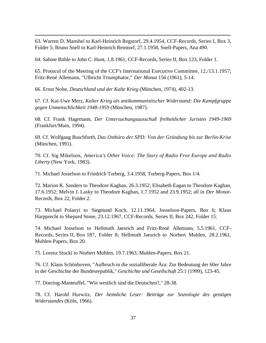63. Warren D. Manshel to Karl-Heinrich Regstorf, 29.4.1954, CCF-Records, Series I, Box 3, Folder 5; Bruno Snell to Karl-Heinrich Renstorf, 27.1.1958, Snell-Papers, Ana 490.

64. Sabine Rühle to John C. Hunt, 1.8.1961, CCF-Records, Series II, Box 123, Folder 1.

65. Protocol of the Meeting of the CCF's International Executive Committee, 12./13.1.1957; Fritz-René Allemann, "Ulbricht Triumphator," *Der Monat* 156 (1961), 5-14.

66. Ernst Nolte, *Deutschland und der Kalte Krieg* (München, 1974), 402-13.

j

67. Cf. Kai-Uwe Merz, *Kalter Krieg als antikommunistischer Widerstand: Die Kampfgruppe gegen Unmenschlichkeit 1948-1959* (München, 1987).

68. Cf. Frank Hagemann, *Der Untersuchungsausschuß freiheitlicher Juristen 1949-1969* (Frankfurt/Main, 1994).

69. Cf. Wolfgang Buschforth, *Das Ostbüro der SPD: Von der Gründung bis zur Berlin-Krise* (München, 1991).

70. Cf. Sig Mikelson, *America's Other Voice: The Story of Radio Free Europe and Radio Liberty* (New York, 1983).

71. Michael Josselson to Friedrich Torberg, 3.4.1958, Torberg-Papers, Box 1/4.

72. Marion K. Sanders to Theodore Kaghan, 26.3.1952; Elisabeth Eagan to Theodore Kaghan, 17.6.1952; Melvin J. Lasky to Theodore Kaghan, 1.7.1952 and 23.9.1952; all in *Der Monat*-Records, Box 22, Folder 2.

73. Michael Polanyi to Siegmund Koch, 12.11.1964, Josselson-Papers, Box 6; Klaus Harpprecht to Shepard Stone, 23.12.1967, CCF-Records, Series II, Box 242, Folder 15.

74. Michael Josselson to Hellmuth Jaesrich and Fritz-René Allemann, 5.5.1961, CCF-Records, Series II, Box 187, Folder 8; Hellmuth Jaesrich to Norbert Muhlen, 28.2.1961, Muhlen-Papers, Box 20.

75. Lorenz Stucki to Norbert Muhlen, 19.7.1963, Muhlen-Papers, Box 21.

76. Cf. Klaus Schönhoven, "Aufbruch in die sozialliberale Ära: Zur Bedeutung der 60er Jahre in der Geschichte der Bundesrepublik," *Geschichte und Gesellschaft* 25:1 (1999), 123-45.

77. Doering-Manteuffel, "Wie westlich sind die Deutschen?," 28-38.

78. Cf. Harold Hurwitz, *Der heimliche Leser: Beiträge zur Soziologie des geistigen Widerstandes* (Köln, 1966).